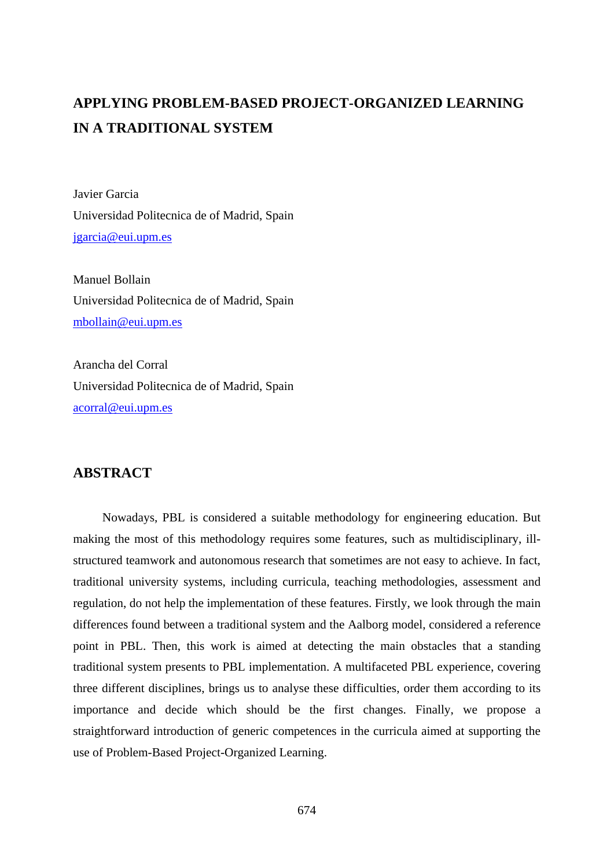# **APPLYING PROBLEM-BASED PROJECT-ORGANIZED LEARNING IN A TRADITIONAL SYSTEM**

Javier Garcia Universidad Politecnica de of Madrid, Spain jgarcia@eui.upm.es

Manuel Bollain Universidad Politecnica de of Madrid, Spain mbollain@eui.upm.es

Arancha del Corral Universidad Politecnica de of Madrid, Spain acorral@eui.upm.es

# **ABSTRACT**

Nowadays, PBL is considered a suitable methodology for engineering education. But making the most of this methodology requires some features, such as multidisciplinary, illstructured teamwork and autonomous research that sometimes are not easy to achieve. In fact, traditional university systems, including curricula, teaching methodologies, assessment and regulation, do not help the implementation of these features. Firstly, we look through the main differences found between a traditional system and the Aalborg model, considered a reference point in PBL. Then, this work is aimed at detecting the main obstacles that a standing traditional system presents to PBL implementation. A multifaceted PBL experience, covering three different disciplines, brings us to analyse these difficulties, order them according to its importance and decide which should be the first changes. Finally, we propose a straightforward introduction of generic competences in the curricula aimed at supporting the use of Problem-Based Project-Organized Learning.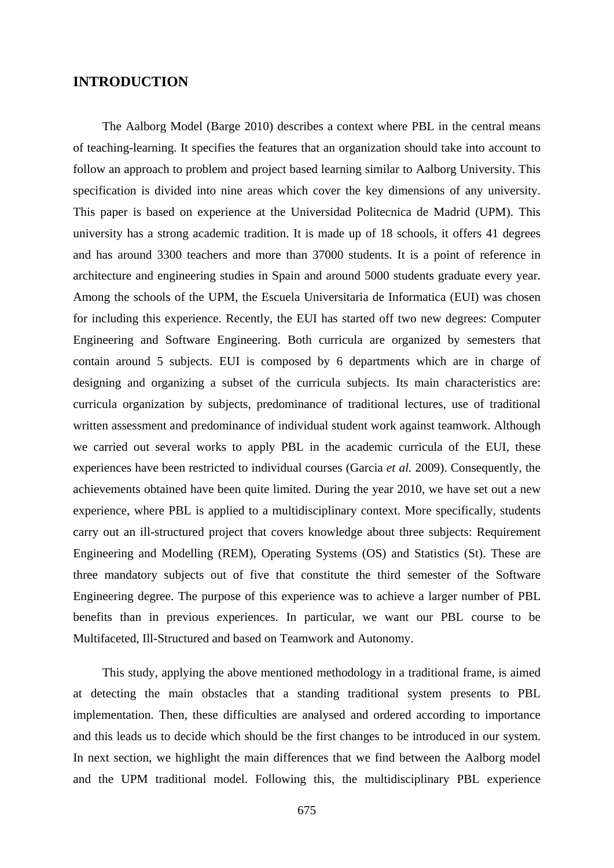# **INTRODUCTION**

The Aalborg Model (Barge 2010) describes a context where PBL in the central means of teaching-learning. It specifies the features that an organization should take into account to follow an approach to problem and project based learning similar to Aalborg University. This specification is divided into nine areas which cover the key dimensions of any university. This paper is based on experience at the Universidad Politecnica de Madrid (UPM). This university has a strong academic tradition. It is made up of 18 schools, it offers 41 degrees and has around 3300 teachers and more than 37000 students. It is a point of reference in architecture and engineering studies in Spain and around 5000 students graduate every year. Among the schools of the UPM, the Escuela Universitaria de Informatica (EUI) was chosen for including this experience. Recently, the EUI has started off two new degrees: Computer Engineering and Software Engineering. Both curricula are organized by semesters that contain around 5 subjects. EUI is composed by 6 departments which are in charge of designing and organizing a subset of the curricula subjects. Its main characteristics are: curricula organization by subjects, predominance of traditional lectures, use of traditional written assessment and predominance of individual student work against teamwork. Although we carried out several works to apply PBL in the academic curricula of the EUI, these experiences have been restricted to individual courses (Garcia *et al.* 2009). Consequently, the achievements obtained have been quite limited. During the year 2010, we have set out a new experience, where PBL is applied to a multidisciplinary context. More specifically, students carry out an ill-structured project that covers knowledge about three subjects: Requirement Engineering and Modelling (REM), Operating Systems (OS) and Statistics (St). These are three mandatory subjects out of five that constitute the third semester of the Software Engineering degree. The purpose of this experience was to achieve a larger number of PBL benefits than in previous experiences. In particular, we want our PBL course to be Multifaceted, Ill-Structured and based on Teamwork and Autonomy.

This study, applying the above mentioned methodology in a traditional frame, is aimed at detecting the main obstacles that a standing traditional system presents to PBL implementation. Then, these difficulties are analysed and ordered according to importance and this leads us to decide which should be the first changes to be introduced in our system. In next section, we highlight the main differences that we find between the Aalborg model and the UPM traditional model. Following this, the multidisciplinary PBL experience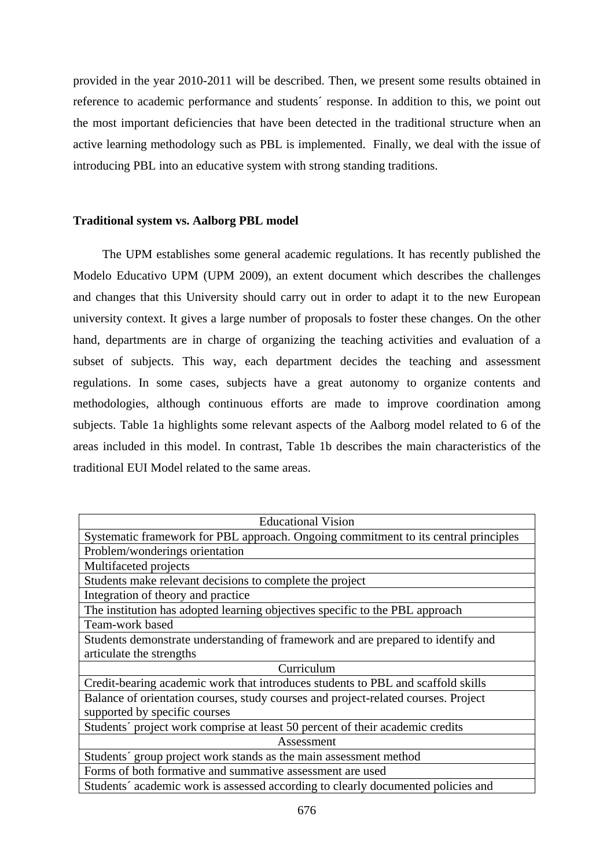provided in the year 2010-2011 will be described. Then, we present some results obtained in reference to academic performance and students´ response. In addition to this, we point out the most important deficiencies that have been detected in the traditional structure when an active learning methodology such as PBL is implemented. Finally, we deal with the issue of introducing PBL into an educative system with strong standing traditions.

## **Traditional system vs. Aalborg PBL model**

The UPM establishes some general academic regulations. It has recently published the Modelo Educativo UPM (UPM 2009), an extent document which describes the challenges and changes that this University should carry out in order to adapt it to the new European university context. It gives a large number of proposals to foster these changes. On the other hand, departments are in charge of organizing the teaching activities and evaluation of a subset of subjects. This way, each department decides the teaching and assessment regulations. In some cases, subjects have a great autonomy to organize contents and methodologies, although continuous efforts are made to improve coordination among subjects. Table 1a highlights some relevant aspects of the Aalborg model related to 6 of the areas included in this model. In contrast, Table 1b describes the main characteristics of the traditional EUI Model related to the same areas.

| <b>Educational Vision</b>                                                           |  |  |  |  |
|-------------------------------------------------------------------------------------|--|--|--|--|
| Systematic framework for PBL approach. Ongoing commitment to its central principles |  |  |  |  |
| Problem/wonderings orientation                                                      |  |  |  |  |
| Multifaceted projects                                                               |  |  |  |  |
| Students make relevant decisions to complete the project                            |  |  |  |  |
| Integration of theory and practice                                                  |  |  |  |  |
| The institution has adopted learning objectives specific to the PBL approach        |  |  |  |  |
| Team-work based                                                                     |  |  |  |  |
| Students demonstrate understanding of framework and are prepared to identify and    |  |  |  |  |
| articulate the strengths                                                            |  |  |  |  |
| Curriculum                                                                          |  |  |  |  |
| Credit-bearing academic work that introduces students to PBL and scaffold skills    |  |  |  |  |
| Balance of orientation courses, study courses and project-related courses. Project  |  |  |  |  |
| supported by specific courses                                                       |  |  |  |  |
| Students' project work comprise at least 50 percent of their academic credits       |  |  |  |  |
| Assessment                                                                          |  |  |  |  |
| Students' group project work stands as the main assessment method                   |  |  |  |  |
| Forms of both formative and summative assessment are used                           |  |  |  |  |
| Students' academic work is assessed according to clearly documented policies and    |  |  |  |  |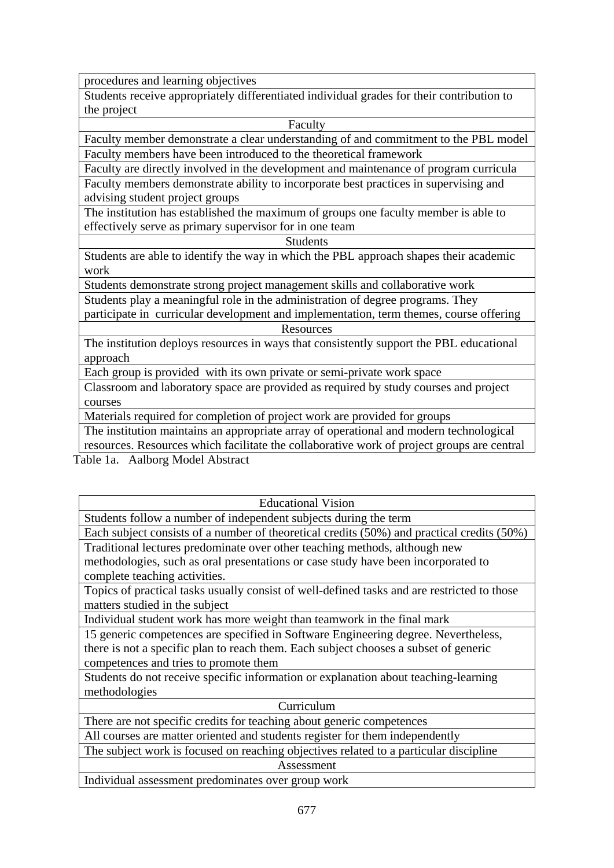procedures and learning objectives

Students receive appropriately differentiated individual grades for their contribution to the project

Faculty

Faculty member demonstrate a clear understanding of and commitment to the PBL model Faculty members have been introduced to the theoretical framework

Faculty are directly involved in the development and maintenance of program curricula Faculty members demonstrate ability to incorporate best practices in supervising and advising student project groups

The institution has established the maximum of groups one faculty member is able to effectively serve as primary supervisor for in one team

Students

Students are able to identify the way in which the PBL approach shapes their academic work

Students demonstrate strong project management skills and collaborative work

Students play a meaningful role in the administration of degree programs. They

participate in curricular development and implementation, term themes, course offering **Resources** 

The institution deploys resources in ways that consistently support the PBL educational approach

Each group is provided with its own private or semi-private work space

Classroom and laboratory space are provided as required by study courses and project courses

Materials required for completion of project work are provided for groups

The institution maintains an appropriate array of operational and modern technological resources. Resources which facilitate the collaborative work of project groups are central

Table 1a. Aalborg Model Abstract

| <b>Educational Vision</b>                                                                   |  |  |  |  |
|---------------------------------------------------------------------------------------------|--|--|--|--|
| Students follow a number of independent subjects during the term                            |  |  |  |  |
| Each subject consists of a number of theoretical credits (50%) and practical credits (50%)  |  |  |  |  |
| Traditional lectures predominate over other teaching methods, although new                  |  |  |  |  |
| methodologies, such as oral presentations or case study have been incorporated to           |  |  |  |  |
| complete teaching activities.                                                               |  |  |  |  |
| Topics of practical tasks usually consist of well-defined tasks and are restricted to those |  |  |  |  |
| matters studied in the subject                                                              |  |  |  |  |
| Individual student work has more weight than teamwork in the final mark                     |  |  |  |  |
| 15 generic competences are specified in Software Engineering degree. Nevertheless,          |  |  |  |  |
| there is not a specific plan to reach them. Each subject chooses a subset of generic        |  |  |  |  |
| competences and tries to promote them                                                       |  |  |  |  |
| Students do not receive specific information or explanation about teaching-learning         |  |  |  |  |
| methodologies                                                                               |  |  |  |  |
| Curriculum                                                                                  |  |  |  |  |
| There are not specific credits for teaching about generic competences                       |  |  |  |  |
| All courses are matter oriented and students register for them independently                |  |  |  |  |
| The subject work is focused on reaching objectives related to a particular discipline       |  |  |  |  |
| Assessment                                                                                  |  |  |  |  |
| Individual assessment predominates over group work                                          |  |  |  |  |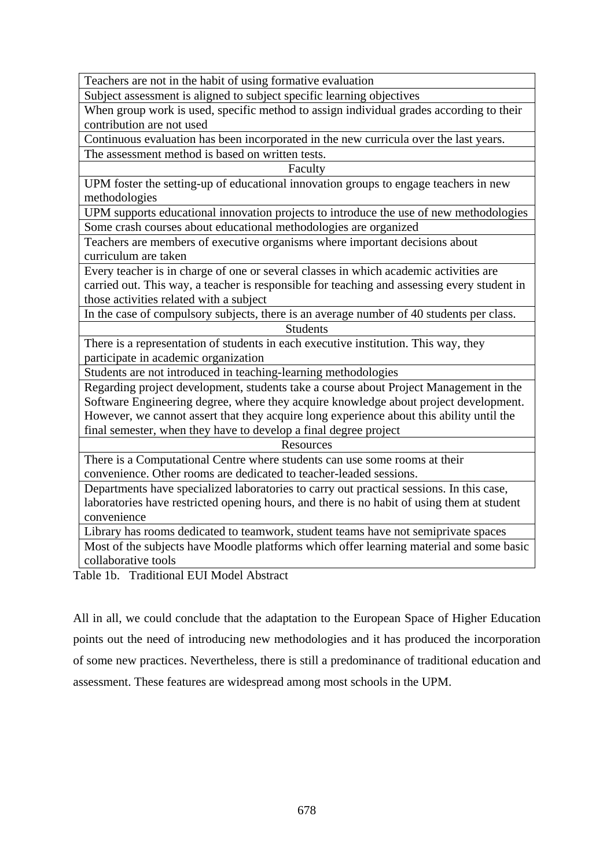Teachers are not in the habit of using formative evaluation

Subject assessment is aligned to subject specific learning objectives

When group work is used, specific method to assign individual grades according to their contribution are not used

Continuous evaluation has been incorporated in the new curricula over the last years. The assessment method is based on written tests.

Faculty

UPM foster the setting-up of educational innovation groups to engage teachers in new methodologies

UPM supports educational innovation projects to introduce the use of new methodologies Some crash courses about educational methodologies are organized

Teachers are members of executive organisms where important decisions about curriculum are taken

Every teacher is in charge of one or several classes in which academic activities are carried out. This way, a teacher is responsible for teaching and assessing every student in those activities related with a subject

In the case of compulsory subjects, there is an average number of 40 students per class. **Students** 

There is a representation of students in each executive institution. This way, they participate in academic organization

Students are not introduced in teaching-learning methodologies

Regarding project development, students take a course about Project Management in the Software Engineering degree, where they acquire knowledge about project development. However, we cannot assert that they acquire long experience about this ability until the final semester, when they have to develop a final degree project

## **Resources**

There is a Computational Centre where students can use some rooms at their convenience. Other rooms are dedicated to teacher-leaded sessions.

Departments have specialized laboratories to carry out practical sessions. In this case, laboratories have restricted opening hours, and there is no habit of using them at student convenience

Library has rooms dedicated to teamwork, student teams have not semiprivate spaces

Most of the subjects have Moodle platforms which offer learning material and some basic collaborative tools

Table 1b. Traditional EUI Model Abstract

All in all, we could conclude that the adaptation to the European Space of Higher Education points out the need of introducing new methodologies and it has produced the incorporation of some new practices. Nevertheless, there is still a predominance of traditional education and assessment. These features are widespread among most schools in the UPM.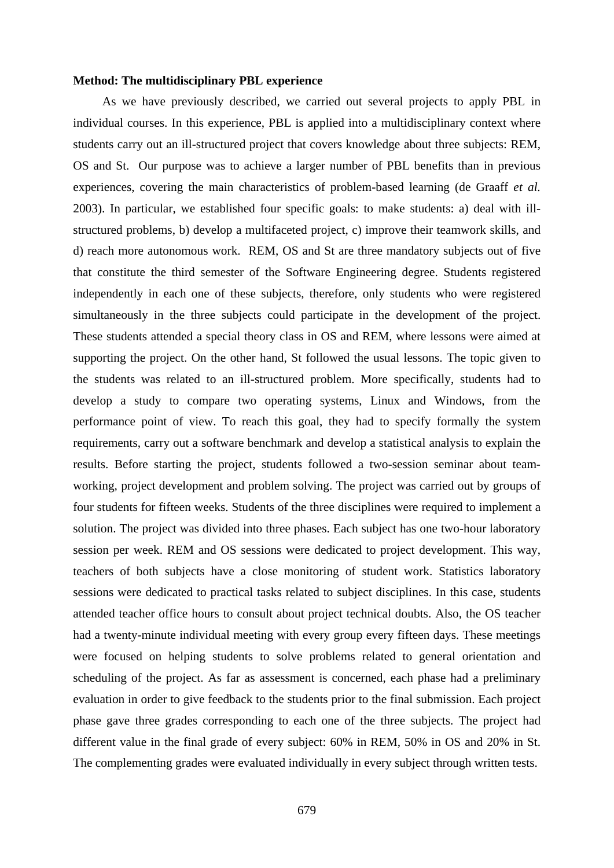#### **Method: The multidisciplinary PBL experience**

As we have previously described, we carried out several projects to apply PBL in individual courses. In this experience, PBL is applied into a multidisciplinary context where students carry out an ill-structured project that covers knowledge about three subjects: REM, OS and St. Our purpose was to achieve a larger number of PBL benefits than in previous experiences, covering the main characteristics of problem-based learning (de Graaff *et al.* 2003). In particular, we established four specific goals: to make students: a) deal with illstructured problems, b) develop a multifaceted project, c) improve their teamwork skills, and d) reach more autonomous work. REM, OS and St are three mandatory subjects out of five that constitute the third semester of the Software Engineering degree. Students registered independently in each one of these subjects, therefore, only students who were registered simultaneously in the three subjects could participate in the development of the project. These students attended a special theory class in OS and REM, where lessons were aimed at supporting the project. On the other hand, St followed the usual lessons. The topic given to the students was related to an ill-structured problem. More specifically, students had to develop a study to compare two operating systems, Linux and Windows, from the performance point of view. To reach this goal, they had to specify formally the system requirements, carry out a software benchmark and develop a statistical analysis to explain the results. Before starting the project, students followed a two-session seminar about teamworking, project development and problem solving. The project was carried out by groups of four students for fifteen weeks. Students of the three disciplines were required to implement a solution. The project was divided into three phases. Each subject has one two-hour laboratory session per week. REM and OS sessions were dedicated to project development. This way, teachers of both subjects have a close monitoring of student work. Statistics laboratory sessions were dedicated to practical tasks related to subject disciplines. In this case, students attended teacher office hours to consult about project technical doubts. Also, the OS teacher had a twenty-minute individual meeting with every group every fifteen days. These meetings were focused on helping students to solve problems related to general orientation and scheduling of the project. As far as assessment is concerned, each phase had a preliminary evaluation in order to give feedback to the students prior to the final submission. Each project phase gave three grades corresponding to each one of the three subjects. The project had different value in the final grade of every subject: 60% in REM, 50% in OS and 20% in St. The complementing grades were evaluated individually in every subject through written tests.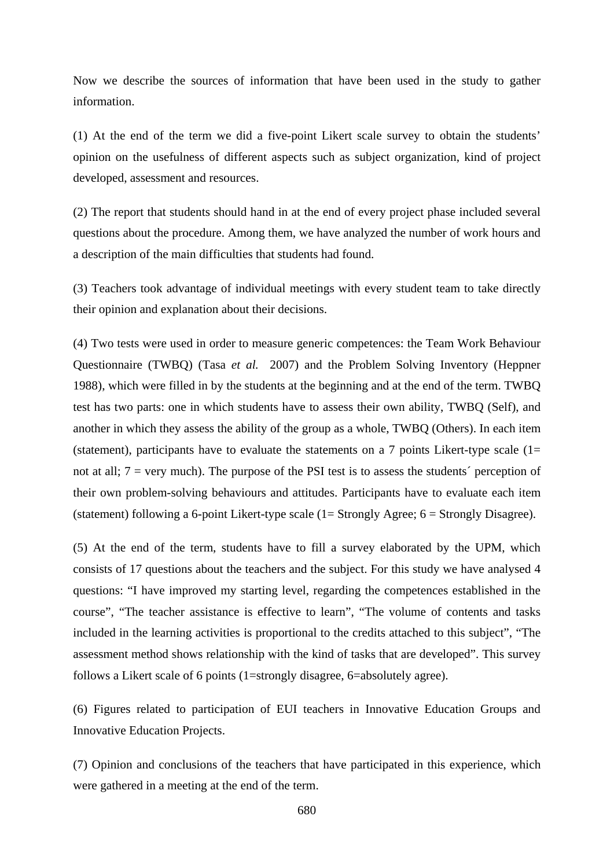Now we describe the sources of information that have been used in the study to gather information.

(1) At the end of the term we did a five-point Likert scale survey to obtain the students' opinion on the usefulness of different aspects such as subject organization, kind of project developed, assessment and resources.

(2) The report that students should hand in at the end of every project phase included several questions about the procedure. Among them, we have analyzed the number of work hours and a description of the main difficulties that students had found.

(3) Teachers took advantage of individual meetings with every student team to take directly their opinion and explanation about their decisions.

(4) Two tests were used in order to measure generic competences: the Team Work Behaviour Questionnaire (TWBQ) (Tasa *et al.* 2007) and the Problem Solving Inventory (Heppner 1988), which were filled in by the students at the beginning and at the end of the term. TWBQ test has two parts: one in which students have to assess their own ability, TWBQ (Self), and another in which they assess the ability of the group as a whole, TWBQ (Others). In each item (statement), participants have to evaluate the statements on a 7 points Likert-type scale  $(1=$ not at all; 7 = very much). The purpose of the PSI test is to assess the students´ perception of their own problem-solving behaviours and attitudes. Participants have to evaluate each item (statement) following a 6-point Likert-type scale (1= Strongly Agree; 6 = Strongly Disagree).

(5) At the end of the term, students have to fill a survey elaborated by the UPM, which consists of 17 questions about the teachers and the subject. For this study we have analysed 4 questions: "I have improved my starting level, regarding the competences established in the course", "The teacher assistance is effective to learn", "The volume of contents and tasks included in the learning activities is proportional to the credits attached to this subject", "The assessment method shows relationship with the kind of tasks that are developed". This survey follows a Likert scale of 6 points (1=strongly disagree, 6=absolutely agree).

(6) Figures related to participation of EUI teachers in Innovative Education Groups and Innovative Education Projects.

(7) Opinion and conclusions of the teachers that have participated in this experience, which were gathered in a meeting at the end of the term.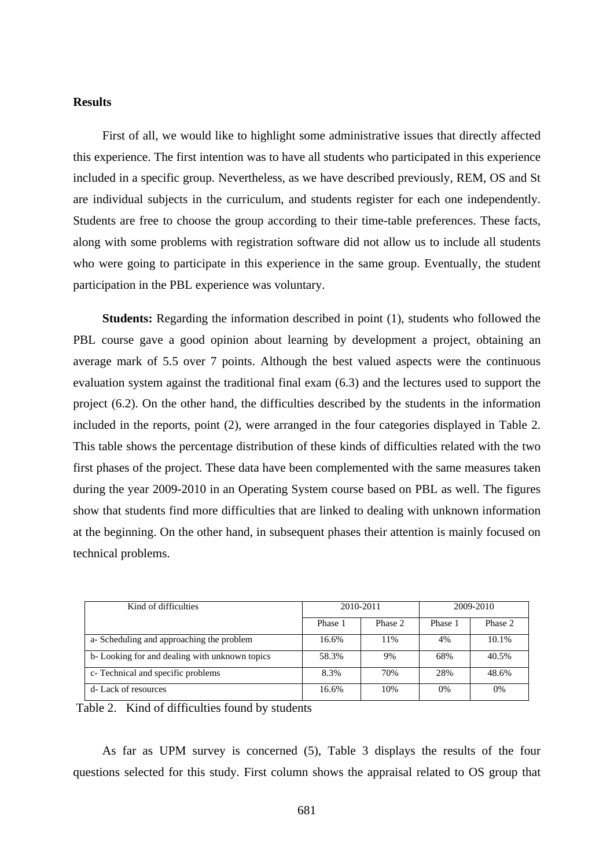### **Results**

First of all, we would like to highlight some administrative issues that directly affected this experience. The first intention was to have all students who participated in this experience included in a specific group. Nevertheless, as we have described previously, REM, OS and St are individual subjects in the curriculum, and students register for each one independently. Students are free to choose the group according to their time-table preferences. These facts, along with some problems with registration software did not allow us to include all students who were going to participate in this experience in the same group. Eventually, the student participation in the PBL experience was voluntary.

**Students:** Regarding the information described in point (1), students who followed the PBL course gave a good opinion about learning by development a project, obtaining an average mark of 5.5 over 7 points. Although the best valued aspects were the continuous evaluation system against the traditional final exam (6.3) and the lectures used to support the project (6.2). On the other hand, the difficulties described by the students in the information included in the reports, point (2), were arranged in the four categories displayed in Table 2. This table shows the percentage distribution of these kinds of difficulties related with the two first phases of the project. These data have been complemented with the same measures taken during the year 2009-2010 in an Operating System course based on PBL as well. The figures show that students find more difficulties that are linked to dealing with unknown information at the beginning. On the other hand, in subsequent phases their attention is mainly focused on technical problems.

| Kind of difficulties                          | 2010-2011 |         | 2009-2010 |         |
|-----------------------------------------------|-----------|---------|-----------|---------|
|                                               | Phase 1   | Phase 2 | Phase 1   | Phase 2 |
| a-Scheduling and approaching the problem      | 16.6%     | 11%     | 4%        | 10.1%   |
| b-Looking for and dealing with unknown topics | 58.3%     | 9%      | 68%       | 40.5%   |
| c- Technical and specific problems            | 8.3%      | 70%     | 28%       | 48.6%   |
| d-Lack of resources                           | 16.6%     | 10%     | 0%        | 0%      |

Table 2. Kind of difficulties found by students

As far as UPM survey is concerned (5), Table 3 displays the results of the four questions selected for this study. First column shows the appraisal related to OS group that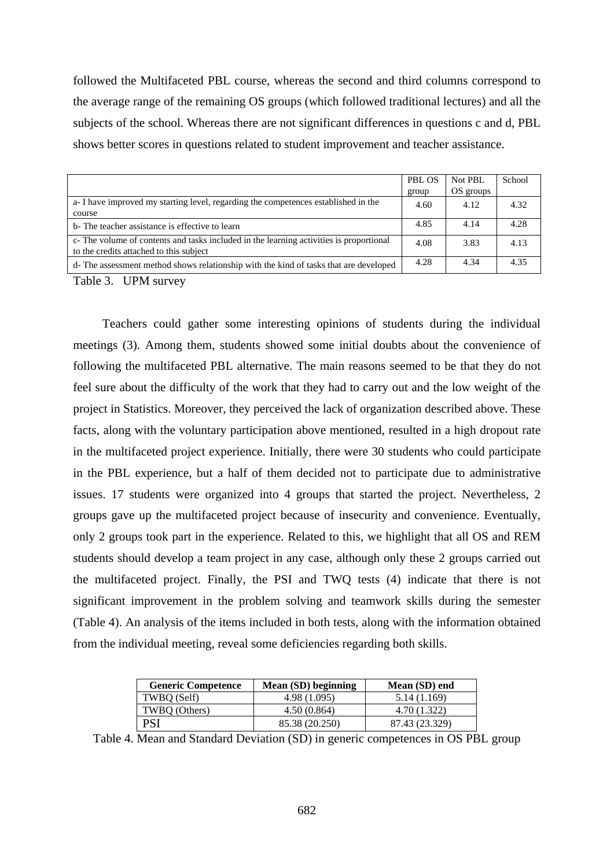followed the Multifaceted PBL course, whereas the second and third columns correspond to the average range of the remaining OS groups (which followed traditional lectures) and all the subjects of the school. Whereas there are not significant differences in questions c and d, PBL shows better scores in questions related to student improvement and teacher assistance.

|                                                                                                                                    | <b>PBL OS</b> | Not PBL   | School |
|------------------------------------------------------------------------------------------------------------------------------------|---------------|-----------|--------|
|                                                                                                                                    | group         | OS groups |        |
| a-I have improved my starting level, regarding the competences established in the                                                  | 4.60          | 4.12      | 4.32   |
| course                                                                                                                             |               |           |        |
| b- The teacher assistance is effective to learn                                                                                    | 4.85          | 4.14      | 4.28   |
| c- The volume of contents and tasks included in the learning activities is proportional<br>to the credits attached to this subject | 4.08          | 3.83      | 4.13   |
| d- The assessment method shows relationship with the kind of tasks that are developed                                              | 4.28          | 4.34      | 4.35   |

Table 3. UPM survey

Teachers could gather some interesting opinions of students during the individual meetings (3). Among them, students showed some initial doubts about the convenience of following the multifaceted PBL alternative. The main reasons seemed to be that they do not feel sure about the difficulty of the work that they had to carry out and the low weight of the project in Statistics. Moreover, they perceived the lack of organization described above. These facts, along with the voluntary participation above mentioned, resulted in a high dropout rate in the multifaceted project experience. Initially, there were 30 students who could participate in the PBL experience, but a half of them decided not to participate due to administrative issues. 17 students were organized into 4 groups that started the project. Nevertheless, 2 groups gave up the multifaceted project because of insecurity and convenience. Eventually, only 2 groups took part in the experience. Related to this, we highlight that all OS and REM students should develop a team project in any case, although only these 2 groups carried out the multifaceted project. Finally, the PSI and TWQ tests (4) indicate that there is not significant improvement in the problem solving and teamwork skills during the semester (Table 4). An analysis of the items included in both tests, along with the information obtained from the individual meeting, reveal some deficiencies regarding both skills.

| <b>Generic Competence</b> | Mean (SD) beginning | Mean (SD) end  |
|---------------------------|---------------------|----------------|
| TWBO (Self)               | 4.98 (1.095)        | 5.14 (1.169)   |
| TWBO (Others)             | 4.50(0.864)         | 4.70 (1.322)   |
| PSI                       | 85.38 (20.250)      | 87.43 (23.329) |

Table 4. Mean and Standard Deviation (SD) in generic competences in OS PBL group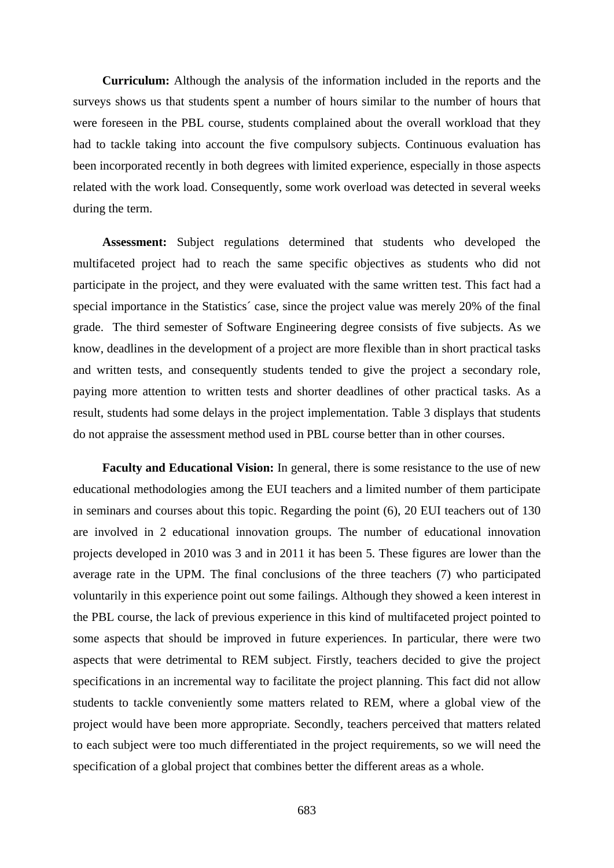**Curriculum:** Although the analysis of the information included in the reports and the surveys shows us that students spent a number of hours similar to the number of hours that were foreseen in the PBL course, students complained about the overall workload that they had to tackle taking into account the five compulsory subjects. Continuous evaluation has been incorporated recently in both degrees with limited experience, especially in those aspects related with the work load. Consequently, some work overload was detected in several weeks during the term.

**Assessment:** Subject regulations determined that students who developed the multifaceted project had to reach the same specific objectives as students who did not participate in the project, and they were evaluated with the same written test. This fact had a special importance in the Statistics´ case, since the project value was merely 20% of the final grade. The third semester of Software Engineering degree consists of five subjects. As we know, deadlines in the development of a project are more flexible than in short practical tasks and written tests, and consequently students tended to give the project a secondary role, paying more attention to written tests and shorter deadlines of other practical tasks. As a result, students had some delays in the project implementation. Table 3 displays that students do not appraise the assessment method used in PBL course better than in other courses.

**Faculty and Educational Vision:** In general, there is some resistance to the use of new educational methodologies among the EUI teachers and a limited number of them participate in seminars and courses about this topic. Regarding the point (6), 20 EUI teachers out of 130 are involved in 2 educational innovation groups. The number of educational innovation projects developed in 2010 was 3 and in 2011 it has been 5. These figures are lower than the average rate in the UPM. The final conclusions of the three teachers (7) who participated voluntarily in this experience point out some failings. Although they showed a keen interest in the PBL course, the lack of previous experience in this kind of multifaceted project pointed to some aspects that should be improved in future experiences. In particular, there were two aspects that were detrimental to REM subject. Firstly, teachers decided to give the project specifications in an incremental way to facilitate the project planning. This fact did not allow students to tackle conveniently some matters related to REM, where a global view of the project would have been more appropriate. Secondly, teachers perceived that matters related to each subject were too much differentiated in the project requirements, so we will need the specification of a global project that combines better the different areas as a whole.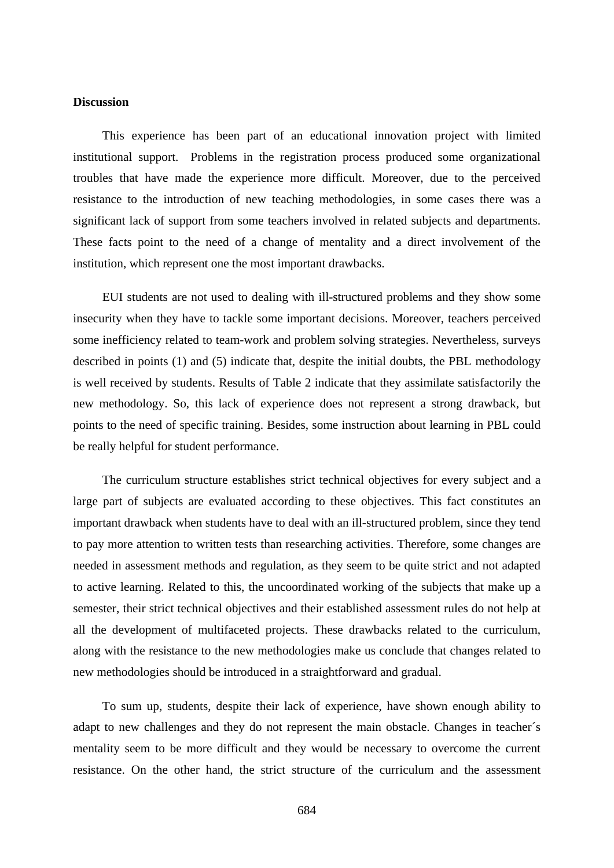### **Discussion**

This experience has been part of an educational innovation project with limited institutional support. Problems in the registration process produced some organizational troubles that have made the experience more difficult. Moreover, due to the perceived resistance to the introduction of new teaching methodologies, in some cases there was a significant lack of support from some teachers involved in related subjects and departments. These facts point to the need of a change of mentality and a direct involvement of the institution, which represent one the most important drawbacks.

EUI students are not used to dealing with ill-structured problems and they show some insecurity when they have to tackle some important decisions. Moreover, teachers perceived some inefficiency related to team-work and problem solving strategies. Nevertheless, surveys described in points (1) and (5) indicate that, despite the initial doubts, the PBL methodology is well received by students. Results of Table 2 indicate that they assimilate satisfactorily the new methodology. So, this lack of experience does not represent a strong drawback, but points to the need of specific training. Besides, some instruction about learning in PBL could be really helpful for student performance.

The curriculum structure establishes strict technical objectives for every subject and a large part of subjects are evaluated according to these objectives. This fact constitutes an important drawback when students have to deal with an ill-structured problem, since they tend to pay more attention to written tests than researching activities. Therefore, some changes are needed in assessment methods and regulation, as they seem to be quite strict and not adapted to active learning. Related to this, the uncoordinated working of the subjects that make up a semester, their strict technical objectives and their established assessment rules do not help at all the development of multifaceted projects. These drawbacks related to the curriculum, along with the resistance to the new methodologies make us conclude that changes related to new methodologies should be introduced in a straightforward and gradual.

To sum up, students, despite their lack of experience, have shown enough ability to adapt to new challenges and they do not represent the main obstacle. Changes in teacher´s mentality seem to be more difficult and they would be necessary to overcome the current resistance. On the other hand, the strict structure of the curriculum and the assessment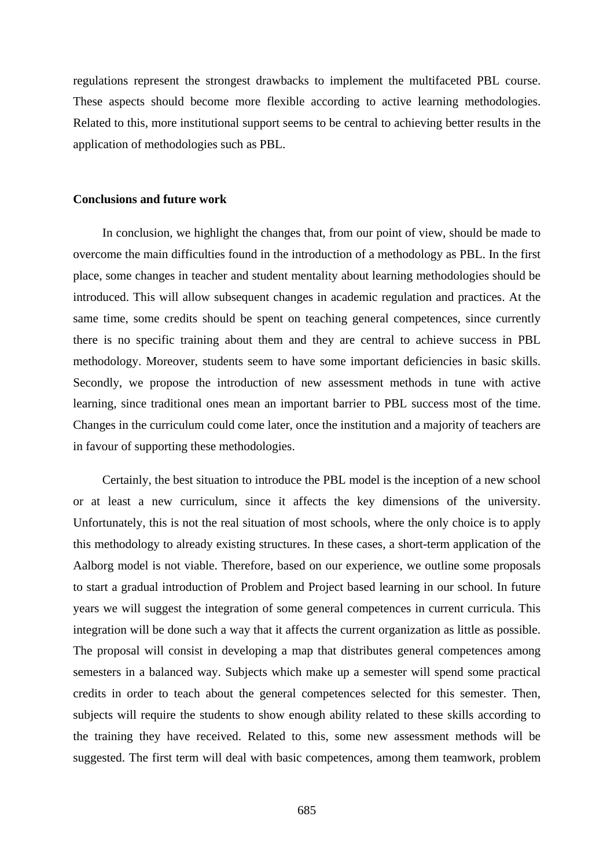regulations represent the strongest drawbacks to implement the multifaceted PBL course. These aspects should become more flexible according to active learning methodologies. Related to this, more institutional support seems to be central to achieving better results in the application of methodologies such as PBL.

#### **Conclusions and future work**

In conclusion, we highlight the changes that, from our point of view, should be made to overcome the main difficulties found in the introduction of a methodology as PBL. In the first place, some changes in teacher and student mentality about learning methodologies should be introduced. This will allow subsequent changes in academic regulation and practices. At the same time, some credits should be spent on teaching general competences, since currently there is no specific training about them and they are central to achieve success in PBL methodology. Moreover, students seem to have some important deficiencies in basic skills. Secondly, we propose the introduction of new assessment methods in tune with active learning, since traditional ones mean an important barrier to PBL success most of the time. Changes in the curriculum could come later, once the institution and a majority of teachers are in favour of supporting these methodologies.

Certainly, the best situation to introduce the PBL model is the inception of a new school or at least a new curriculum, since it affects the key dimensions of the university. Unfortunately, this is not the real situation of most schools, where the only choice is to apply this methodology to already existing structures. In these cases, a short-term application of the Aalborg model is not viable. Therefore, based on our experience, we outline some proposals to start a gradual introduction of Problem and Project based learning in our school. In future years we will suggest the integration of some general competences in current curricula. This integration will be done such a way that it affects the current organization as little as possible. The proposal will consist in developing a map that distributes general competences among semesters in a balanced way. Subjects which make up a semester will spend some practical credits in order to teach about the general competences selected for this semester. Then, subjects will require the students to show enough ability related to these skills according to the training they have received. Related to this, some new assessment methods will be suggested. The first term will deal with basic competences, among them teamwork, problem